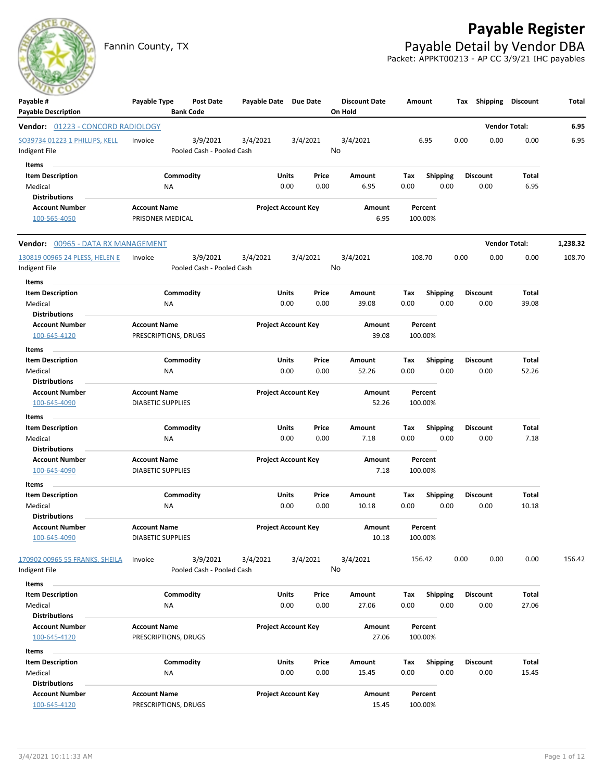

## **Payable Register**

Fannin County, TX **Payable Detail by Vendor DBA** Packet: APPKT00213 - AP CC 3/9/21 IHC payables

| Payable #<br><b>Payable Description</b>                       | Payable Type                                    | Post Date<br><b>Bank Code</b>         | Payable Date Due Date |                                | <b>Discount Date</b><br>On Hold | Amount             |                         | Shipping<br>Tax         | <b>Discount</b>      | Total    |
|---------------------------------------------------------------|-------------------------------------------------|---------------------------------------|-----------------------|--------------------------------|---------------------------------|--------------------|-------------------------|-------------------------|----------------------|----------|
| Vendor: 01223 - CONCORD RADIOLOGY                             |                                                 |                                       |                       |                                |                                 |                    |                         |                         | <b>Vendor Total:</b> | 6.95     |
| SO39734 01223 1 PHILLIPS, KELL<br>Indigent File               | Invoice                                         | 3/9/2021<br>Pooled Cash - Pooled Cash | 3/4/2021              | 3/4/2021                       | 3/4/2021<br>No                  |                    | 6.95                    | 0.00<br>0.00            | 0.00                 | 6.95     |
| Items                                                         |                                                 |                                       |                       |                                |                                 |                    |                         |                         |                      |          |
| <b>Item Description</b><br>Medical                            | NA                                              | Commodity                             |                       | Units<br>Price<br>0.00<br>0.00 | Amount<br>6.95                  | Tax<br>0.00        | <b>Shipping</b><br>0.00 | <b>Discount</b><br>0.00 | Total<br>6.95        |          |
| <b>Distributions</b><br><b>Account Number</b>                 | <b>Account Name</b>                             |                                       |                       | <b>Project Account Key</b>     | Amount                          | Percent            |                         |                         |                      |          |
| 100-565-4050                                                  | PRISONER MEDICAL                                |                                       |                       |                                | 6.95                            | 100.00%            |                         |                         |                      |          |
| Vendor: 00965 - DATA RX MANAGEMENT                            |                                                 |                                       |                       |                                |                                 |                    |                         |                         | <b>Vendor Total:</b> | 1,238.32 |
| 130819 00965 24 PLESS, HELEN E                                | Invoice                                         | 3/9/2021                              | 3/4/2021              | 3/4/2021                       | 3/4/2021                        | 108.70             |                         | 0.00<br>0.00            | 0.00                 | 108.70   |
| Indigent File                                                 |                                                 | Pooled Cash - Pooled Cash             |                       |                                | No                              |                    |                         |                         |                      |          |
| Items                                                         |                                                 |                                       |                       |                                |                                 |                    |                         |                         |                      |          |
| <b>Item Description</b><br>Medical                            | ΝA                                              | Commodity                             |                       | Units<br>Price<br>0.00<br>0.00 | Amount<br>39.08                 | Tax<br>0.00        | <b>Shipping</b><br>0.00 | <b>Discount</b><br>0.00 | Total<br>39.08       |          |
| <b>Distributions</b>                                          |                                                 |                                       |                       |                                |                                 |                    |                         |                         |                      |          |
| <b>Account Number</b>                                         | <b>Account Name</b>                             |                                       |                       | <b>Project Account Key</b>     | Amount                          | Percent            |                         |                         |                      |          |
| 100-645-4120                                                  | PRESCRIPTIONS, DRUGS                            |                                       |                       |                                | 39.08                           | 100.00%            |                         |                         |                      |          |
| Items                                                         |                                                 |                                       |                       |                                |                                 |                    |                         |                         |                      |          |
| <b>Item Description</b>                                       |                                                 | Commodity                             |                       | Units<br>Price                 | Amount                          | Tax                | <b>Shipping</b>         | <b>Discount</b>         | Total                |          |
| Medical                                                       | ΝA                                              |                                       |                       | 0.00<br>0.00                   | 52.26                           | 0.00               | 0.00                    | 0.00                    | 52.26                |          |
| <b>Distributions</b>                                          |                                                 |                                       |                       |                                |                                 |                    |                         |                         |                      |          |
| <b>Account Number</b><br>100-645-4090                         | <b>Account Name</b><br><b>DIABETIC SUPPLIES</b> |                                       |                       | <b>Project Account Key</b>     | Amount<br>52.26                 | Percent<br>100.00% |                         |                         |                      |          |
| Items                                                         |                                                 |                                       |                       |                                |                                 |                    |                         |                         |                      |          |
| <b>Item Description</b>                                       |                                                 | Commodity                             |                       | <b>Units</b><br>Price          | Amount                          | Tax                | <b>Shipping</b>         | <b>Discount</b>         | Total                |          |
| Medical                                                       | NA                                              |                                       |                       | 0.00<br>0.00                   | 7.18                            | 0.00               | 0.00                    | 0.00                    | 7.18                 |          |
| <b>Distributions</b>                                          |                                                 |                                       |                       |                                |                                 |                    |                         |                         |                      |          |
| <b>Account Number</b><br>100-645-4090                         | <b>Account Name</b><br><b>DIABETIC SUPPLIES</b> |                                       |                       | <b>Project Account Key</b>     | Amount<br>7.18                  | Percent<br>100.00% |                         |                         |                      |          |
|                                                               |                                                 |                                       |                       |                                |                                 |                    |                         |                         |                      |          |
| Items<br><b>Item Description</b>                              |                                                 | Commodity                             |                       | Units<br>Price                 | Amount                          | Тах                | <b>Shipping</b>         | <b>Discount</b>         | Total                |          |
| Medical                                                       | NA                                              |                                       |                       | 0.00<br>0.00                   | 10.18                           | 0.00               | 0.00                    | 0.00                    | 10.18                |          |
| <b>Distributions</b>                                          |                                                 |                                       |                       |                                |                                 |                    |                         |                         |                      |          |
| <b>Account Number</b><br>100-645-4090                         | <b>Account Name</b><br><b>DIABETIC SUPPLIES</b> |                                       |                       | <b>Project Account Key</b>     | Amount<br>10.18                 | Percent<br>100.00% |                         |                         |                      |          |
| 170902 00965 55 FRANKS, SHEILA<br>Indigent File               | Invoice                                         | 3/9/2021<br>Pooled Cash - Pooled Cash | 3/4/2021              | 3/4/2021                       | 3/4/2021<br>No                  | 156.42             |                         | 0.00<br>0.00            | 0.00                 | 156.42   |
| Items                                                         |                                                 |                                       |                       |                                |                                 |                    |                         |                         |                      |          |
| <b>Item Description</b>                                       |                                                 | Commodity                             |                       | <b>Units</b><br>Price          | Amount                          | Tax                | <b>Shipping</b>         | <b>Discount</b>         | Total                |          |
| Medical                                                       | ΝA                                              |                                       |                       | 0.00<br>0.00                   | 27.06                           | 0.00               | 0.00                    | 0.00                    | 27.06                |          |
| <b>Distributions</b><br><b>Account Number</b><br>100-645-4120 | <b>Account Name</b><br>PRESCRIPTIONS, DRUGS     |                                       |                       | <b>Project Account Key</b>     | Amount<br>27.06                 | Percent<br>100.00% |                         |                         |                      |          |
|                                                               |                                                 |                                       |                       |                                |                                 |                    |                         |                         |                      |          |
| Items<br><b>Item Description</b>                              |                                                 | Commodity                             |                       | Units<br>Price                 | Amount                          | Tax                | <b>Shipping</b>         | <b>Discount</b>         | Total                |          |
| Medical                                                       | ΝA                                              |                                       |                       | 0.00<br>0.00                   | 15.45                           | 0.00               | 0.00                    | 0.00                    | 15.45                |          |
| <b>Distributions</b>                                          |                                                 |                                       |                       |                                |                                 |                    |                         |                         |                      |          |
| <b>Account Number</b><br>100-645-4120                         | <b>Account Name</b><br>PRESCRIPTIONS, DRUGS     |                                       |                       | <b>Project Account Key</b>     | Amount<br>15.45                 | Percent<br>100.00% |                         |                         |                      |          |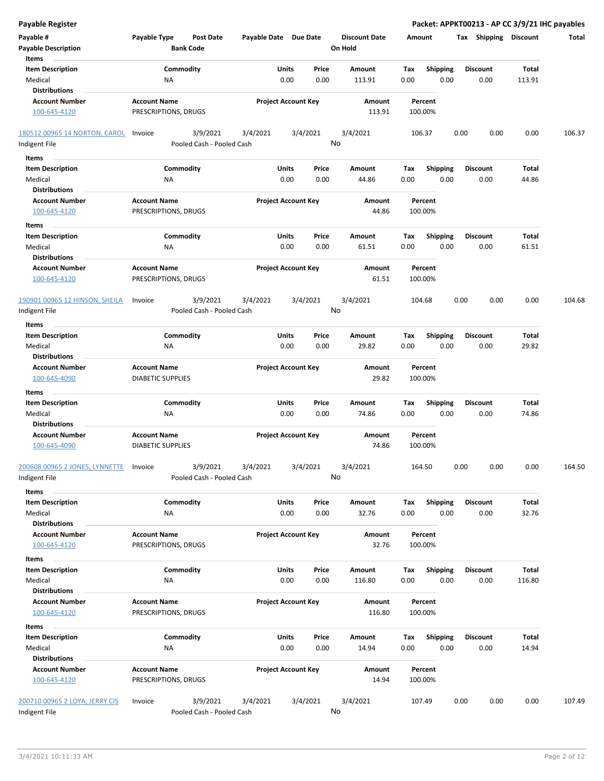| <b>Payable Register</b>                                    |                                                      |                       |                                |                                 |                                        | Packet: APPKT00213 - AP CC 3/9/21 IHC payables |                 |        |
|------------------------------------------------------------|------------------------------------------------------|-----------------------|--------------------------------|---------------------------------|----------------------------------------|------------------------------------------------|-----------------|--------|
| Payable #<br><b>Payable Description</b>                    | Payable Type<br><b>Post Date</b><br><b>Bank Code</b> | Payable Date Due Date |                                | <b>Discount Date</b><br>On Hold | Amount                                 | Tax Shipping Discount                          |                 | Total  |
| Items                                                      |                                                      |                       |                                |                                 |                                        |                                                |                 |        |
| <b>Item Description</b><br>Medical<br><b>Distributions</b> | Commodity<br>NA                                      |                       | Units<br>Price<br>0.00<br>0.00 | Amount<br>113.91                | Shipping<br>Tax<br>0.00<br>0.00        | <b>Discount</b><br>0.00                        | Total<br>113.91 |        |
| <b>Account Number</b>                                      | <b>Account Name</b>                                  |                       | <b>Project Account Key</b>     | Amount                          | Percent                                |                                                |                 |        |
| 100-645-4120                                               | PRESCRIPTIONS, DRUGS                                 |                       |                                | 113.91                          | 100.00%                                |                                                |                 |        |
| 180512 00965 14 NORTON, CAROL                              | 3/9/2021<br>Invoice                                  | 3/4/2021              | 3/4/2021                       | 3/4/2021                        | 106.37                                 | 0.00<br>0.00                                   | 0.00            | 106.37 |
| Indigent File                                              | Pooled Cash - Pooled Cash                            |                       |                                | No                              |                                        |                                                |                 |        |
| Items                                                      |                                                      |                       |                                |                                 |                                        |                                                |                 |        |
| <b>Item Description</b>                                    | Commodity                                            |                       | Units<br>Price                 | Amount                          | <b>Shipping</b><br>Tax                 | Discount                                       | Total           |        |
| Medical<br><b>Distributions</b>                            | ΝA                                                   |                       | 0.00<br>0.00                   | 44.86                           | 0.00<br>0.00                           | 0.00                                           | 44.86           |        |
| <b>Account Number</b>                                      | <b>Account Name</b>                                  |                       | <b>Project Account Key</b>     | Amount                          | Percent                                |                                                |                 |        |
| 100-645-4120                                               | PRESCRIPTIONS, DRUGS                                 |                       |                                | 44.86                           | 100.00%                                |                                                |                 |        |
| Items                                                      |                                                      |                       |                                |                                 |                                        |                                                |                 |        |
| <b>Item Description</b>                                    | Commodity                                            |                       | Units<br>Price                 | Amount                          | Tax<br><b>Shipping</b>                 | <b>Discount</b>                                | Total           |        |
| Medical                                                    | NA                                                   |                       | 0.00<br>0.00                   | 61.51                           | 0.00<br>0.00                           | 0.00                                           | 61.51           |        |
| <b>Distributions</b>                                       |                                                      |                       |                                |                                 |                                        |                                                |                 |        |
| <b>Account Number</b><br>100-645-4120                      | <b>Account Name</b><br>PRESCRIPTIONS, DRUGS          |                       | <b>Project Account Key</b>     | Amount<br>61.51                 | Percent<br>100.00%                     |                                                |                 |        |
| 190901 00965 12 HINSON, SHEILA<br>Indigent File            | 3/9/2021<br>Invoice<br>Pooled Cash - Pooled Cash     | 3/4/2021              | 3/4/2021                       | 3/4/2021<br>No                  | 104.68                                 | 0.00<br>0.00                                   | 0.00            | 104.68 |
| Items                                                      |                                                      |                       |                                |                                 |                                        |                                                |                 |        |
| <b>Item Description</b>                                    | Commodity                                            |                       | Units<br>Price                 | Amount                          | <b>Shipping</b><br>Tax                 | <b>Discount</b>                                | Total           |        |
| Medical<br><b>Distributions</b>                            | NA                                                   |                       | 0.00<br>0.00                   | 29.82                           | 0.00<br>0.00                           | 0.00                                           | 29.82           |        |
| <b>Account Number</b><br>100-645-4090                      | <b>Account Name</b><br><b>DIABETIC SUPPLIES</b>      |                       | <b>Project Account Key</b>     | Amount<br>29.82                 | Percent<br>100.00%                     |                                                |                 |        |
| Items                                                      |                                                      |                       |                                |                                 |                                        |                                                |                 |        |
| <b>Item Description</b>                                    | Commodity                                            |                       | Units<br>Price                 | Amount                          | <b>Shipping</b><br>Tax                 | Discount                                       | Total           |        |
| Medical<br><b>Distributions</b>                            | NA                                                   |                       | 0.00<br>0.00                   | 74.86                           | 0.00<br>0.00                           | 0.00                                           | 74.86           |        |
| <b>Account Number</b><br>100-645-4090                      | <b>Account Name</b><br><b>DIABETIC SUPPLIES</b>      |                       | <b>Project Account Key</b>     | Amount<br>74.86                 | Percent<br>100.00%                     |                                                |                 |        |
| 200608 00965 2 JONES, LYNNETTE<br>Indigent File            | 3/9/2021<br>Invoice<br>Pooled Cash - Pooled Cash     | 3/4/2021              | 3/4/2021                       | 3/4/2021<br>No                  | 164.50                                 | 0.00<br>0.00                                   | 0.00            | 164.50 |
| Items                                                      |                                                      |                       |                                |                                 |                                        |                                                |                 |        |
| <b>Item Description</b>                                    | Commodity                                            |                       | Units<br>Price                 | Amount                          | <b>Shipping</b><br>Tax                 | Discount                                       | Total           |        |
| Medical                                                    | ΝA                                                   |                       | 0.00<br>0.00                   | 32.76                           | 0.00<br>0.00                           | 0.00                                           | 32.76           |        |
| <b>Distributions</b>                                       |                                                      |                       |                                |                                 |                                        |                                                |                 |        |
| <b>Account Number</b><br>100-645-4120                      | <b>Account Name</b><br>PRESCRIPTIONS, DRUGS          |                       | <b>Project Account Key</b>     | Amount<br>32.76                 | Percent<br>100.00%                     |                                                |                 |        |
| Items                                                      |                                                      |                       |                                |                                 |                                        |                                                |                 |        |
| <b>Item Description</b><br>Medical                         | Commodity<br>ΝA                                      |                       | Units<br>Price<br>0.00<br>0.00 | Amount<br>116.80                | Tax<br><b>Shipping</b><br>0.00<br>0.00 | Discount<br>0.00                               | Total<br>116.80 |        |
| <b>Distributions</b>                                       |                                                      |                       |                                |                                 |                                        |                                                |                 |        |
| <b>Account Number</b><br>100-645-4120                      | <b>Account Name</b><br>PRESCRIPTIONS, DRUGS          |                       | <b>Project Account Key</b>     | Amount<br>116.80                | Percent<br>100.00%                     |                                                |                 |        |
| Items                                                      |                                                      |                       |                                |                                 |                                        |                                                |                 |        |
| <b>Item Description</b><br>Medical                         | Commodity<br>ΝA                                      |                       | Units<br>Price<br>0.00<br>0.00 | Amount<br>14.94                 | Shipping<br>Тах<br>0.00<br>0.00        | Discount<br>0.00                               | Total<br>14.94  |        |
| <b>Distributions</b>                                       |                                                      |                       |                                |                                 |                                        |                                                |                 |        |
| <b>Account Number</b><br>100-645-4120                      | <b>Account Name</b><br>PRESCRIPTIONS, DRUGS          |                       | <b>Project Account Key</b>     | Amount<br>14.94                 | Percent<br>100.00%                     |                                                |                 |        |
| 200710 00965 2 LOYA, JERRY CIS<br>Indigent File            | 3/9/2021<br>Invoice<br>Pooled Cash - Pooled Cash     | 3/4/2021              | 3/4/2021                       | 3/4/2021<br>No                  | 107.49                                 | 0.00<br>0.00                                   | 0.00            | 107.49 |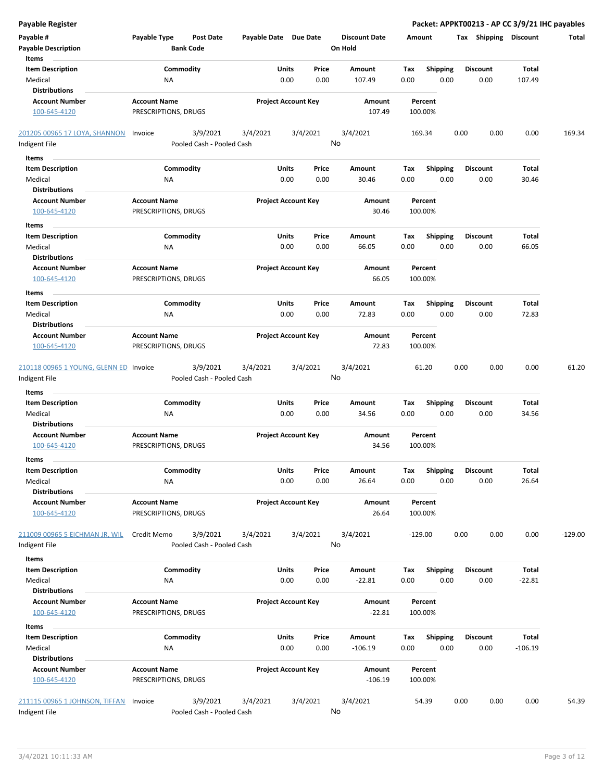| <b>Payable Register</b>                 |                                                      |          |                                |                                 |                                        | Packet: APPKT00213 - AP CC 3/9/21 IHC payables |                 |           |
|-----------------------------------------|------------------------------------------------------|----------|--------------------------------|---------------------------------|----------------------------------------|------------------------------------------------|-----------------|-----------|
| Payable #<br><b>Payable Description</b> | Payable Type<br><b>Post Date</b><br><b>Bank Code</b> |          | Payable Date Due Date          | <b>Discount Date</b><br>On Hold | Amount                                 | <b>Tax Shipping Discount</b>                   |                 | Total     |
| Items                                   |                                                      |          |                                |                                 |                                        |                                                |                 |           |
| <b>Item Description</b><br>Medical      | Commodity<br>NA                                      |          | Units<br>Price<br>0.00<br>0.00 | Amount<br>107.49                | Tax<br><b>Shipping</b><br>0.00<br>0.00 | <b>Discount</b><br>0.00                        | Total<br>107.49 |           |
| <b>Distributions</b>                    |                                                      |          |                                |                                 |                                        |                                                |                 |           |
| <b>Account Number</b>                   | <b>Account Name</b>                                  |          | <b>Project Account Key</b>     | Amount                          | Percent                                |                                                |                 |           |
| 100-645-4120                            | PRESCRIPTIONS, DRUGS                                 |          |                                | 107.49                          | 100.00%                                |                                                |                 |           |
| 201205 00965 17 LOYA, SHANNON           | 3/9/2021<br>Invoice                                  | 3/4/2021 | 3/4/2021                       | 3/4/2021                        | 169.34                                 | 0.00<br>0.00                                   | 0.00            | 169.34    |
| Indigent File                           | Pooled Cash - Pooled Cash                            |          |                                | No                              |                                        |                                                |                 |           |
| Items                                   |                                                      |          |                                |                                 |                                        |                                                |                 |           |
| <b>Item Description</b>                 | Commodity                                            |          | Units<br>Price                 | Amount                          | Tax<br><b>Shipping</b>                 | Discount                                       | Total           |           |
| Medical                                 | ΝA                                                   |          | 0.00<br>0.00                   | 30.46                           | 0.00<br>0.00                           | 0.00                                           | 30.46           |           |
| <b>Distributions</b>                    |                                                      |          |                                |                                 |                                        |                                                |                 |           |
| <b>Account Number</b>                   | <b>Account Name</b>                                  |          | <b>Project Account Key</b>     | Amount                          | Percent                                |                                                |                 |           |
| 100-645-4120                            | PRESCRIPTIONS, DRUGS                                 |          |                                | 30.46                           | 100.00%                                |                                                |                 |           |
| Items                                   |                                                      |          |                                |                                 |                                        |                                                |                 |           |
| <b>Item Description</b>                 | Commodity                                            |          | Units<br>Price                 | Amount                          | Tax<br><b>Shipping</b>                 | <b>Discount</b>                                | Total           |           |
| Medical                                 | ΝA                                                   |          | 0.00<br>0.00                   | 66.05                           | 0.00<br>0.00                           | 0.00                                           | 66.05           |           |
| <b>Distributions</b>                    |                                                      |          |                                |                                 |                                        |                                                |                 |           |
| <b>Account Number</b>                   | <b>Account Name</b>                                  |          | <b>Project Account Key</b>     | Amount                          | Percent                                |                                                |                 |           |
| 100-645-4120                            | PRESCRIPTIONS, DRUGS                                 |          |                                | 66.05                           | 100.00%                                |                                                |                 |           |
| Items                                   |                                                      |          |                                |                                 |                                        |                                                |                 |           |
| <b>Item Description</b>                 | Commodity                                            |          | Units<br>Price                 | Amount                          | Tax<br><b>Shipping</b>                 | <b>Discount</b>                                | Total           |           |
| Medical                                 | NA                                                   |          | 0.00<br>0.00                   | 72.83                           | 0.00<br>0.00                           | 0.00                                           | 72.83           |           |
| <b>Distributions</b>                    |                                                      |          |                                |                                 |                                        |                                                |                 |           |
| <b>Account Number</b>                   | <b>Account Name</b>                                  |          | <b>Project Account Key</b>     | Amount                          | Percent                                |                                                |                 |           |
| 100-645-4120                            | PRESCRIPTIONS, DRUGS                                 |          |                                | 72.83                           | 100.00%                                |                                                |                 |           |
| 210118 00965 1 YOUNG, GLENN ED Invoice  | 3/9/2021                                             | 3/4/2021 | 3/4/2021                       | 3/4/2021                        | 61.20                                  | 0.00<br>0.00                                   | 0.00            | 61.20     |
| Indigent File                           | Pooled Cash - Pooled Cash                            |          |                                | No                              |                                        |                                                |                 |           |
| Items                                   |                                                      |          |                                |                                 |                                        |                                                |                 |           |
| <b>Item Description</b>                 | Commodity                                            |          | Units<br>Price                 | Amount                          | <b>Shipping</b><br>Tax                 | Discount                                       | Total           |           |
| Medical                                 | NA                                                   |          | 0.00<br>0.00                   | 34.56                           | 0.00<br>0.00                           | 0.00                                           | 34.56           |           |
| <b>Distributions</b>                    |                                                      |          |                                |                                 |                                        |                                                |                 |           |
| <b>Account Number</b>                   | <b>Account Name</b>                                  |          | <b>Project Account Key</b>     | Amount                          | Percent                                |                                                |                 |           |
| 100-645-4120                            | PRESCRIPTIONS, DRUGS                                 |          |                                | 34.56                           | 100.00%                                |                                                |                 |           |
| ltems                                   |                                                      |          |                                |                                 |                                        |                                                |                 |           |
| <b>Item Description</b>                 | Commodity                                            |          | Units<br>Price                 | Amount                          | Shipping<br>Tax                        | <b>Discount</b>                                | Total           |           |
| Medical                                 | NA                                                   |          | 0.00<br>0.00                   | 26.64                           | 0.00<br>0.00                           | 0.00                                           | 26.64           |           |
| <b>Distributions</b>                    |                                                      |          |                                |                                 |                                        |                                                |                 |           |
| <b>Account Number</b>                   | <b>Account Name</b>                                  |          | <b>Project Account Key</b>     | Amount                          | Percent                                |                                                |                 |           |
| 100-645-4120                            | PRESCRIPTIONS, DRUGS                                 |          |                                | 26.64                           | 100.00%                                |                                                |                 |           |
|                                         |                                                      |          |                                |                                 |                                        |                                                |                 |           |
| 211009 00965 5 EICHMAN JR, WIL          | Credit Memo<br>3/9/2021                              | 3/4/2021 | 3/4/2021                       | 3/4/2021                        | $-129.00$                              | 0.00<br>0.00                                   | 0.00            | $-129.00$ |
| Indigent File                           | Pooled Cash - Pooled Cash                            |          |                                | No                              |                                        |                                                |                 |           |
| Items                                   |                                                      |          |                                |                                 |                                        |                                                |                 |           |
| <b>Item Description</b>                 | Commodity                                            |          | Units<br>Price                 | Amount                          | Tax<br><b>Shipping</b>                 | Discount                                       | Total           |           |
| Medical<br><b>Distributions</b>         | ΝA                                                   |          | 0.00<br>0.00                   | $-22.81$                        | 0.00<br>0.00                           | 0.00                                           | $-22.81$        |           |
| <b>Account Number</b>                   | <b>Account Name</b>                                  |          | <b>Project Account Key</b>     | Amount                          | Percent                                |                                                |                 |           |
| 100-645-4120                            | PRESCRIPTIONS, DRUGS                                 |          |                                | $-22.81$                        | 100.00%                                |                                                |                 |           |
| Items                                   |                                                      |          |                                |                                 |                                        |                                                |                 |           |
| <b>Item Description</b>                 | Commodity                                            |          | Units<br>Price                 | Amount                          | Shipping<br>Tax                        | Discount                                       | Total           |           |
| Medical                                 | ΝA                                                   |          | 0.00<br>0.00                   | $-106.19$                       | 0.00<br>0.00                           | 0.00                                           | $-106.19$       |           |
| <b>Distributions</b>                    |                                                      |          |                                |                                 |                                        |                                                |                 |           |
| <b>Account Number</b>                   | <b>Account Name</b>                                  |          | <b>Project Account Key</b>     | Amount                          | Percent                                |                                                |                 |           |
| 100-645-4120                            | PRESCRIPTIONS, DRUGS                                 |          |                                | $-106.19$                       | 100.00%                                |                                                |                 |           |
| 211115 00965 1 JOHNSON, TIFFAN          | 3/9/2021<br>Invoice                                  | 3/4/2021 | 3/4/2021                       | 3/4/2021                        | 54.39                                  | 0.00<br>0.00                                   | 0.00            | 54.39     |
| Indigent File                           | Pooled Cash - Pooled Cash                            |          |                                | No                              |                                        |                                                |                 |           |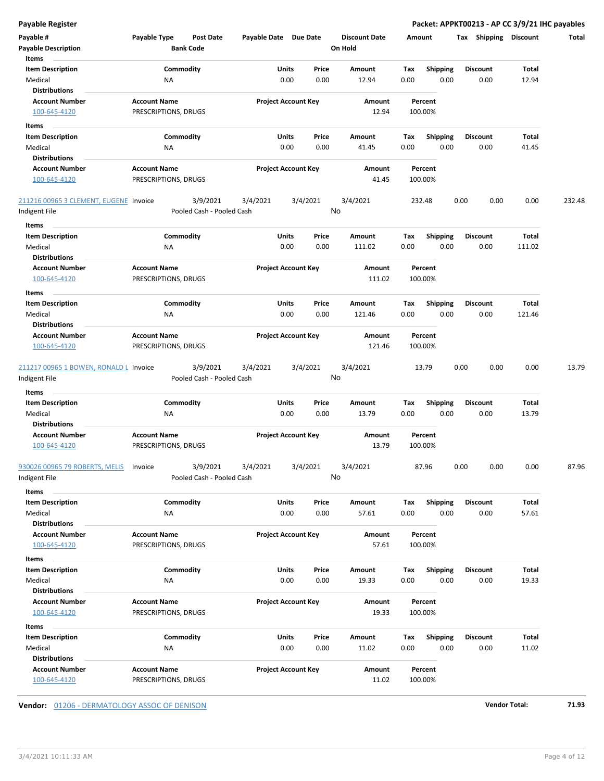|  |  | Payable Register |  |
|--|--|------------------|--|
|  |  |                  |  |

Packet: APPKT00213 - AP CC 3/9/21 IHC payables

| Payable #<br><b>Payable Description</b><br>Items              | Payable Type                                | Post Date<br><b>Bank Code</b>         | Payable Date Due Date |                                       | <b>Discount Date</b><br>On Hold | Amount      |                         | Tax Shipping            | Discount        | Total  |
|---------------------------------------------------------------|---------------------------------------------|---------------------------------------|-----------------------|---------------------------------------|---------------------------------|-------------|-------------------------|-------------------------|-----------------|--------|
| <b>Item Description</b><br>Medical                            | ΝA                                          | Commodity                             |                       | Price<br>Units<br>0.00<br>0.00        | Amount<br>12.94                 | Tax<br>0.00 | Shipping<br>0.00        | <b>Discount</b><br>0.00 | Total<br>12.94  |        |
| <b>Distributions</b><br><b>Account Number</b><br>100-645-4120 | <b>Account Name</b><br>PRESCRIPTIONS, DRUGS |                                       |                       | <b>Project Account Key</b>            | Amount<br>12.94                 |             | Percent<br>100.00%      |                         |                 |        |
| Items                                                         |                                             |                                       |                       |                                       |                                 |             |                         |                         |                 |        |
| <b>Item Description</b>                                       |                                             | Commodity                             |                       | Units<br>Price                        | Amount                          | Tax         | <b>Shipping</b>         | <b>Discount</b>         | Total           |        |
| Medical                                                       | ΝA                                          |                                       |                       | 0.00<br>0.00                          | 41.45                           | 0.00        | 0.00                    | 0.00                    | 41.45           |        |
| <b>Distributions</b><br><b>Account Number</b>                 | <b>Account Name</b>                         |                                       |                       | <b>Project Account Key</b>            | Amount                          |             | Percent                 |                         |                 |        |
| 100-645-4120                                                  | PRESCRIPTIONS, DRUGS                        |                                       |                       |                                       | 41.45                           |             | 100.00%                 |                         |                 |        |
| 211216 00965 3 CLEMENT, EUGENE Invoice                        |                                             | 3/9/2021                              | 3/4/2021              | 3/4/2021                              | 3/4/2021                        |             | 232.48                  | 0.00<br>0.00            | 0.00            | 232.48 |
| Indigent File                                                 |                                             | Pooled Cash - Pooled Cash             |                       |                                       | No                              |             |                         |                         |                 |        |
| Items                                                         |                                             |                                       |                       |                                       |                                 |             |                         |                         |                 |        |
| <b>Item Description</b>                                       |                                             | Commodity                             |                       | Units<br>Price                        | Amount                          | Tax         | <b>Shipping</b>         | <b>Discount</b>         | Total           |        |
| Medical                                                       | ΝA                                          |                                       |                       | 0.00<br>0.00                          | 111.02                          | 0.00        | 0.00                    | 0.00                    | 111.02          |        |
| <b>Distributions</b><br><b>Account Number</b><br>100-645-4120 | <b>Account Name</b><br>PRESCRIPTIONS, DRUGS |                                       |                       | <b>Project Account Key</b>            | Amount<br>111.02                |             | Percent<br>100.00%      |                         |                 |        |
| Items                                                         |                                             |                                       |                       |                                       |                                 |             |                         |                         |                 |        |
| Item Description<br>Medical                                   | ΝA                                          | Commodity                             |                       | Units<br>Price<br>0.00<br>0.00        | Amount<br>121.46                | Tax<br>0.00 | <b>Shipping</b><br>0.00 | <b>Discount</b><br>0.00 | Total<br>121.46 |        |
| <b>Distributions</b><br><b>Account Number</b>                 | <b>Account Name</b>                         |                                       |                       | <b>Project Account Key</b>            | Amount                          |             | Percent                 |                         |                 |        |
| 100-645-4120                                                  | PRESCRIPTIONS, DRUGS                        |                                       |                       |                                       | 121.46                          |             | 100.00%                 |                         |                 |        |
| 211217 00965 1 BOWEN, RONALD L Invoice<br>Indigent File       |                                             | 3/9/2021<br>Pooled Cash - Pooled Cash | 3/4/2021              | 3/4/2021                              | 3/4/2021<br>No                  |             | 13.79                   | 0.00<br>0.00            | 0.00            | 13.79  |
| Items                                                         |                                             |                                       |                       |                                       |                                 |             |                         |                         |                 |        |
| <b>Item Description</b><br>Medical                            | ΝA                                          | Commodity                             |                       | Units<br>Price<br>0.00<br>0.00        | Amount<br>13.79                 | Tax<br>0.00 | <b>Shipping</b><br>0.00 | <b>Discount</b><br>0.00 | Total<br>13.79  |        |
| <b>Distributions</b><br><b>Account Number</b><br>100-645-4120 | <b>Account Name</b><br>PRESCRIPTIONS, DRUGS |                                       |                       | <b>Project Account Key</b>            | Amount<br>13.79                 |             | Percent<br>100.00%      |                         |                 |        |
| 930026 00965 79 ROBERTS, MELIS<br>ndigent File                | Invoice                                     | 3/9/2021<br>Pooled Cash - Pooled Cash | 3/4/2021              | 3/4/2021                              | 3/4/2021<br>No                  |             | 87.96                   | 0.00<br>0.00            | 0.00            | 87.96  |
| Items                                                         |                                             |                                       |                       |                                       |                                 |             |                         |                         |                 |        |
| <b>Item Description</b><br>Medical                            | ΝA                                          | Commodity                             |                       | <b>Units</b><br>Price<br>0.00<br>0.00 | Amount<br>57.61                 | Tax<br>0.00 | <b>Shipping</b><br>0.00 | <b>Discount</b><br>0.00 | Total<br>57.61  |        |
| <b>Distributions</b><br><b>Account Number</b><br>100-645-4120 | <b>Account Name</b><br>PRESCRIPTIONS, DRUGS |                                       |                       | <b>Project Account Key</b>            | Amount<br>57.61                 |             | Percent<br>100.00%      |                         |                 |        |
| Items                                                         |                                             |                                       |                       |                                       |                                 |             |                         |                         |                 |        |
| <b>Item Description</b>                                       |                                             | Commodity                             |                       | Units<br>Price                        | Amount                          | Tax         | <b>Shipping</b>         | <b>Discount</b>         | Total           |        |
| Medical                                                       | ΝA                                          |                                       |                       | 0.00<br>0.00                          | 19.33                           | 0.00        | 0.00                    | 0.00                    | 19.33           |        |
| <b>Distributions</b>                                          |                                             |                                       |                       |                                       |                                 |             |                         |                         |                 |        |
| <b>Account Number</b><br>100-645-4120                         | <b>Account Name</b><br>PRESCRIPTIONS, DRUGS |                                       |                       | <b>Project Account Key</b>            | Amount<br>19.33                 |             | Percent<br>100.00%      |                         |                 |        |
| Items                                                         |                                             |                                       |                       |                                       |                                 |             |                         |                         |                 |        |
| <b>Item Description</b>                                       |                                             | Commodity                             |                       | Units<br>Price                        | Amount                          | Tax         | <b>Shipping</b>         | <b>Discount</b>         | Total           |        |
| Medical<br><b>Distributions</b>                               | NA                                          |                                       |                       | 0.00<br>0.00                          | 11.02                           | 0.00        | 0.00                    | 0.00                    | 11.02           |        |
| <b>Account Number</b><br>100-645-4120                         | <b>Account Name</b><br>PRESCRIPTIONS, DRUGS |                                       |                       | <b>Project Account Key</b>            | Amount<br>11.02                 |             | Percent<br>100.00%      |                         |                 |        |

**Vendor:** 01206 - DERMATOLOGY ASSOC OF DENISON **Vendor Total: 71.93**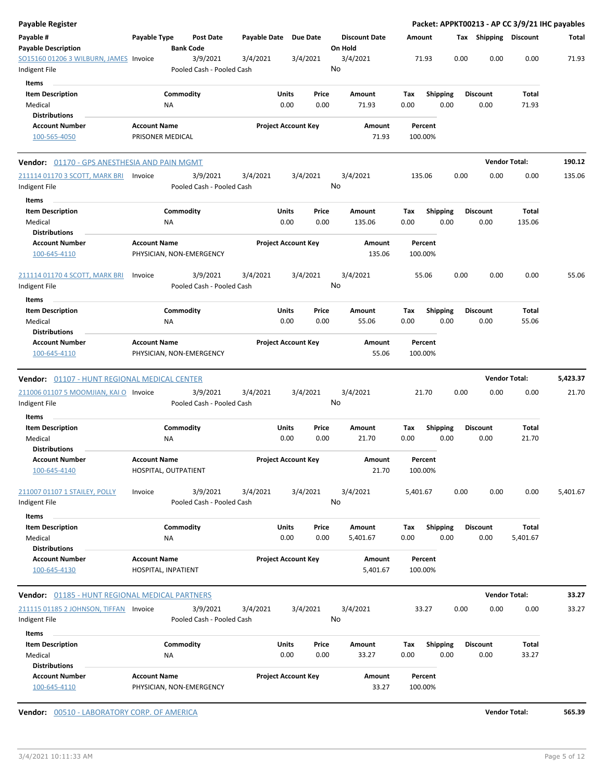| Payable Register                                        |                                         |                                       |              |                            |                 |                                 |             |                    |                         |      |                         | Packet: APPKT00213 - AP CC 3/9/21 IHC payables |          |
|---------------------------------------------------------|-----------------------------------------|---------------------------------------|--------------|----------------------------|-----------------|---------------------------------|-------------|--------------------|-------------------------|------|-------------------------|------------------------------------------------|----------|
| Payable #<br><b>Payable Description</b>                 | Payable Type                            | Post Date<br><b>Bank Code</b>         | Payable Date |                            | <b>Due Date</b> | <b>Discount Date</b><br>On Hold |             | Amount             |                         |      | Tax Shipping Discount   |                                                | Total    |
| SO15160 01206 3 WILBURN, JAMES Invoice<br>Indigent File |                                         | 3/9/2021<br>Pooled Cash - Pooled Cash | 3/4/2021     |                            | 3/4/2021        | 3/4/2021<br>No                  |             | 71.93              |                         | 0.00 | 0.00                    | 0.00                                           | 71.93    |
| Items                                                   |                                         |                                       |              |                            |                 |                                 |             |                    |                         |      |                         |                                                |          |
| <b>Item Description</b><br>Medical                      |                                         | Commodity<br>ΝA                       |              | Units<br>0.00              | Price<br>0.00   | Amount<br>71.93                 | Tax<br>0.00 |                    | <b>Shipping</b><br>0.00 |      | <b>Discount</b><br>0.00 | Total<br>71.93                                 |          |
| <b>Distributions</b>                                    |                                         |                                       |              |                            |                 |                                 |             |                    |                         |      |                         |                                                |          |
| <b>Account Number</b><br>100-565-4050                   | <b>Account Name</b><br>PRISONER MEDICAL |                                       |              | <b>Project Account Key</b> |                 | Amount<br>71.93                 |             | Percent<br>100.00% |                         |      |                         |                                                |          |
| Vendor: 01170 - GPS ANESTHESIA AND PAIN MGMT            |                                         |                                       |              |                            |                 |                                 |             |                    |                         |      | <b>Vendor Total:</b>    |                                                | 190.12   |
| 211114 01170 3 SCOTT, MARK BRI<br>Indigent File         | Invoice                                 | 3/9/2021<br>Pooled Cash - Pooled Cash | 3/4/2021     |                            | 3/4/2021        | 3/4/2021<br>No                  |             | 135.06             |                         | 0.00 | 0.00                    | 0.00                                           | 135.06   |
| Items                                                   |                                         |                                       |              |                            |                 |                                 |             |                    |                         |      |                         |                                                |          |
| <b>Item Description</b>                                 |                                         | Commodity                             |              | Units                      | Price           | Amount                          | Tax         |                    | <b>Shipping</b>         |      | <b>Discount</b>         | Total                                          |          |
| Medical                                                 |                                         | ΝA                                    |              | 0.00                       | 0.00            | 135.06                          | 0.00        |                    | 0.00                    |      | 0.00                    | 135.06                                         |          |
| <b>Distributions</b><br><b>Account Number</b>           | <b>Account Name</b>                     |                                       |              | <b>Project Account Key</b> |                 | Amount                          |             | Percent            |                         |      |                         |                                                |          |
| 100-645-4110                                            |                                         | PHYSICIAN, NON-EMERGENCY              |              |                            |                 | 135.06                          |             | 100.00%            |                         |      |                         |                                                |          |
| <u>211114 01170 4 SCOTT, MARK BRI</u><br>Indigent File  | Invoice                                 | 3/9/2021<br>Pooled Cash - Pooled Cash | 3/4/2021     |                            | 3/4/2021        | 3/4/2021<br>No                  |             | 55.06              |                         | 0.00 | 0.00                    | 0.00                                           | 55.06    |
| Items                                                   |                                         |                                       |              |                            |                 |                                 |             |                    |                         |      |                         |                                                |          |
| <b>Item Description</b>                                 |                                         | Commodity                             |              | Units                      | Price           | Amount                          | Tax         |                    | <b>Shipping</b>         |      | <b>Discount</b>         | Total                                          |          |
| Medical                                                 |                                         | NA                                    |              | 0.00                       | 0.00            | 55.06                           | 0.00        |                    | 0.00                    |      | 0.00                    | 55.06                                          |          |
| <b>Distributions</b>                                    |                                         |                                       |              |                            |                 |                                 |             |                    |                         |      |                         |                                                |          |
| <b>Account Number</b>                                   | <b>Account Name</b>                     |                                       |              | <b>Project Account Key</b> |                 | Amount                          |             | Percent            |                         |      |                         |                                                |          |
| 100-645-4110                                            |                                         | PHYSICIAN, NON-EMERGENCY              |              |                            |                 | 55.06                           |             | 100.00%            |                         |      |                         |                                                |          |
| <b>Vendor:</b> 01107 - HUNT REGIONAL MEDICAL CENTER     |                                         |                                       |              |                            |                 |                                 |             |                    |                         |      | <b>Vendor Total:</b>    |                                                | 5,423.37 |
| 211006 01107 5 MOOMJIAN, KAI O Invoice                  |                                         | 3/9/2021                              | 3/4/2021     |                            | 3/4/2021        | 3/4/2021                        |             | 21.70              |                         | 0.00 | 0.00                    | 0.00                                           | 21.70    |
| Indigent File<br>Items                                  |                                         | Pooled Cash - Pooled Cash             |              |                            |                 | No                              |             |                    |                         |      |                         |                                                |          |
| <b>Item Description</b>                                 |                                         | Commodity                             |              | Units                      | Price           | Amount                          | Tax         |                    | <b>Shipping</b>         |      | <b>Discount</b>         | Total                                          |          |
| Medical                                                 |                                         | ΝA                                    |              | 0.00                       | 0.00            | 21.70                           | 0.00        |                    | 0.00                    |      | 0.00                    | 21.70                                          |          |
| <b>Distributions</b><br><b>Account Number</b>           | <b>Account Name</b>                     |                                       |              | <b>Project Account Key</b> |                 | Amount                          |             | Percent            |                         |      |                         |                                                |          |
| 100-645-4140                                            |                                         | HOSPITAL, OUTPATIENT                  |              |                            |                 | 21.70                           |             | 100.00%            |                         |      |                         |                                                |          |
| 211007 01107 1 STAILEY, POLLY<br>Indigent File          | Invoice                                 | 3/9/2021<br>Pooled Cash - Pooled Cash | 3/4/2021     |                            | 3/4/2021        | 3/4/2021<br>No                  | 5,401.67    |                    |                         | 0.00 | 0.00                    | 0.00                                           | 5,401.67 |
| Items                                                   |                                         |                                       |              |                            |                 |                                 |             |                    |                         |      |                         |                                                |          |
| <b>Item Description</b><br>Medical                      |                                         | Commodity<br>ΝA                       |              | Units<br>0.00              | Price<br>0.00   | Amount<br>5,401.67              | Tax<br>0.00 |                    | <b>Shipping</b><br>0.00 |      | <b>Discount</b><br>0.00 | Total<br>5,401.67                              |          |
| <b>Distributions</b>                                    |                                         |                                       |              |                            |                 |                                 |             |                    |                         |      |                         |                                                |          |
| <b>Account Number</b><br>100-645-4130                   | <b>Account Name</b>                     | HOSPITAL, INPATIENT                   |              | <b>Project Account Key</b> |                 | Amount<br>5,401.67              |             | Percent<br>100.00% |                         |      |                         |                                                |          |
| Vendor: 01185 - HUNT REGIONAL MEDICAL PARTNERS          |                                         |                                       |              |                            |                 |                                 |             |                    |                         |      | <b>Vendor Total:</b>    |                                                | 33.27    |
| 211115 01185 2 JOHNSON, TIFFAN Invoice                  |                                         | 3/9/2021                              | 3/4/2021     |                            | 3/4/2021        | 3/4/2021                        |             | 33.27              |                         | 0.00 | 0.00                    | 0.00                                           | 33.27    |
| Indigent File                                           |                                         | Pooled Cash - Pooled Cash             |              |                            |                 | No                              |             |                    |                         |      |                         |                                                |          |
| Items                                                   |                                         |                                       |              |                            |                 |                                 |             |                    |                         |      |                         |                                                |          |
| <b>Item Description</b>                                 |                                         | Commodity                             |              | Units                      | Price           | Amount                          | Tax         |                    | <b>Shipping</b>         |      | <b>Discount</b>         | Total                                          |          |
| Medical                                                 |                                         | ΝA                                    |              | 0.00                       | 0.00            | 33.27                           | 0.00        |                    | 0.00                    |      | 0.00                    | 33.27                                          |          |
| <b>Distributions</b><br><b>Account Number</b>           | <b>Account Name</b>                     |                                       |              | <b>Project Account Key</b> |                 | Amount                          |             | Percent            |                         |      |                         |                                                |          |
| 100-645-4110                                            |                                         | PHYSICIAN, NON-EMERGENCY              |              |                            |                 | 33.27                           |             | 100.00%            |                         |      |                         |                                                |          |

**Vendor:**  $\underline{00510 - LABORATORY CORP. OF AMERICA}$  **565.39**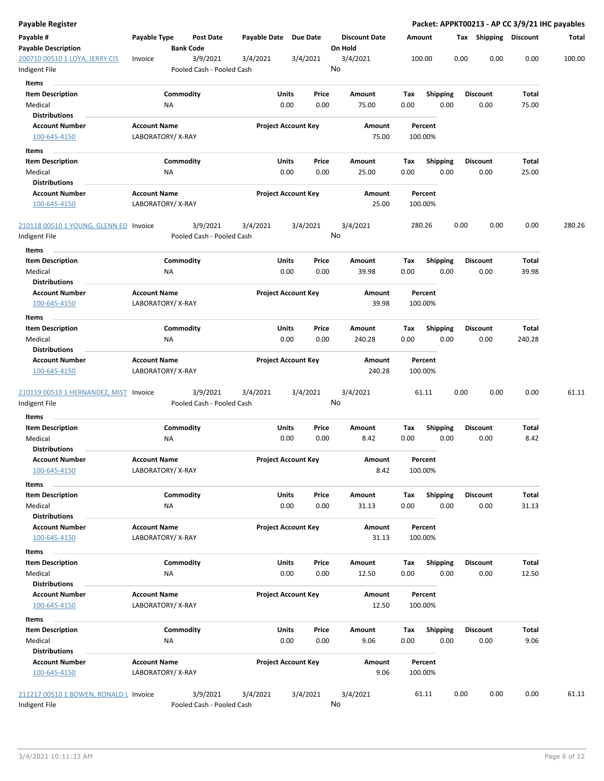| Payable Register                                |                                         |                                       |                       |                            |                                 |             |                    |      |                       |        | Packet: APPKT00213 - AP CC 3/9/21 IHC payables |
|-------------------------------------------------|-----------------------------------------|---------------------------------------|-----------------------|----------------------------|---------------------------------|-------------|--------------------|------|-----------------------|--------|------------------------------------------------|
| Payable #<br><b>Payable Description</b>         | Payable Type                            | <b>Post Date</b><br><b>Bank Code</b>  | Payable Date Due Date |                            | <b>Discount Date</b><br>On Hold |             | Amount             |      | Tax Shipping Discount |        | Total                                          |
| 200710 00510 1 LOYA, JERRY CIS<br>Indigent File | Invoice                                 | 3/9/2021<br>Pooled Cash - Pooled Cash | 3/4/2021              | 3/4/2021                   | 3/4/2021<br>No                  |             | 100.00             | 0.00 | 0.00                  | 0.00   | 100.00                                         |
| Items                                           |                                         |                                       |                       |                            |                                 |             |                    |      |                       |        |                                                |
| <b>Item Description</b>                         |                                         | Commodity                             |                       | Units<br>Price             | Amount                          | Tax         | <b>Shipping</b>    |      | <b>Discount</b>       | Total  |                                                |
| Medical                                         | ΝA                                      |                                       |                       | 0.00<br>0.00               | 75.00                           | 0.00        | 0.00               |      | 0.00                  | 75.00  |                                                |
| <b>Distributions</b>                            |                                         |                                       |                       |                            |                                 |             |                    |      |                       |        |                                                |
| <b>Account Number</b>                           | <b>Account Name</b>                     |                                       |                       | <b>Project Account Key</b> | Amount                          |             | Percent            |      |                       |        |                                                |
| 100-645-4150                                    | LABORATORY/X-RAY                        |                                       |                       |                            |                                 | 75.00       | 100.00%            |      |                       |        |                                                |
| Items                                           |                                         |                                       |                       |                            |                                 |             |                    |      |                       |        |                                                |
| <b>Item Description</b>                         |                                         | Commodity                             |                       | Units<br>Price             | Amount                          | Тах         | Shipping           |      | <b>Discount</b>       | Total  |                                                |
| Medical                                         | <b>NA</b>                               |                                       |                       | 0.00<br>0.00               | 25.00                           | 0.00        | 0.00               |      | 0.00                  | 25.00  |                                                |
| <b>Distributions</b>                            |                                         |                                       |                       |                            |                                 |             |                    |      |                       |        |                                                |
| <b>Account Number</b><br>100-645-4150           | <b>Account Name</b><br>LABORATORY/X-RAY |                                       |                       | <b>Project Account Key</b> | Amount                          | 25.00       | Percent<br>100.00% |      |                       |        |                                                |
| 210118 00510 1 YOUNG, GLENN ED Invoice          |                                         | 3/9/2021                              | 3/4/2021              | 3/4/2021                   | 3/4/2021<br>No                  |             | 280.26             | 0.00 | 0.00                  | 0.00   | 280.26                                         |
| Indigent File<br>Items                          |                                         | Pooled Cash - Pooled Cash             |                       |                            |                                 |             |                    |      |                       |        |                                                |
| <b>Item Description</b>                         |                                         | Commodity                             |                       | Units<br>Price             | Amount                          | Tax         | <b>Shipping</b>    |      | <b>Discount</b>       | Total  |                                                |
| Medical                                         | <b>NA</b>                               |                                       |                       | 0.00<br>0.00               | 39.98                           | 0.00        | 0.00               |      | 0.00                  | 39.98  |                                                |
| <b>Distributions</b>                            |                                         |                                       |                       |                            |                                 |             |                    |      |                       |        |                                                |
| <b>Account Number</b>                           | <b>Account Name</b>                     |                                       |                       | <b>Project Account Key</b> | Amount                          |             | Percent            |      |                       |        |                                                |
| 100-645-4150                                    | LABORATORY/X-RAY                        |                                       |                       |                            |                                 | 39.98       | 100.00%            |      |                       |        |                                                |
| Items                                           |                                         |                                       |                       |                            |                                 |             |                    |      |                       |        |                                                |
| <b>Item Description</b>                         | NA                                      | Commodity                             |                       | Units<br>Price<br>0.00     | Amount                          | Tax<br>0.00 | <b>Shipping</b>    |      | <b>Discount</b>       | Total  |                                                |
| Medical<br><b>Distributions</b>                 |                                         |                                       |                       | 0.00                       | 240.28                          |             | 0.00               |      | 0.00                  | 240.28 |                                                |
| <b>Account Number</b>                           | <b>Account Name</b>                     |                                       |                       | <b>Project Account Key</b> | Amount                          |             | Percent            |      |                       |        |                                                |
| 100-645-4150                                    | LABORATORY/X-RAY                        |                                       |                       |                            | 240.28                          |             | 100.00%            |      |                       |        |                                                |
| 210119 00510 1 HERNANDEZ, MIST Invoice          |                                         | 3/9/2021                              | 3/4/2021              | 3/4/2021                   | 3/4/2021                        |             | 61.11              | 0.00 | 0.00                  | 0.00   | 61.11                                          |
| Indigent File                                   |                                         | Pooled Cash - Pooled Cash             |                       |                            | No                              |             |                    |      |                       |        |                                                |
| Items                                           |                                         |                                       |                       |                            |                                 |             |                    |      |                       |        |                                                |
| <b>Item Description</b>                         |                                         | Commodity                             |                       | Units<br>Price             | Amount                          | Tax         | <b>Shipping</b>    |      | Discount              | Total  |                                                |
| Medical<br><b>Distributions</b>                 | ΝA                                      |                                       |                       | 0.00<br>0.00               | 8.42                            | 0.00        | 0.00               |      | 0.00                  | 8.42   |                                                |
| <b>Account Number</b>                           | <b>Account Name</b>                     |                                       |                       | <b>Project Account Key</b> | Amount                          |             | Percent            |      |                       |        |                                                |
| 100-645-4150                                    | LABORATORY/X-RAY                        |                                       |                       |                            |                                 | 8.42        | 100.00%            |      |                       |        |                                                |
| Items                                           |                                         |                                       |                       |                            |                                 |             |                    |      |                       |        |                                                |
| <b>Item Description</b>                         |                                         | Commodity                             |                       | Units<br>Price             | Amount                          | Tax         | <b>Shipping</b>    |      | <b>Discount</b>       | Total  |                                                |
| Medical                                         | NA                                      |                                       |                       | 0.00<br>0.00               | 31.13                           | 0.00        | 0.00               |      | 0.00                  | 31.13  |                                                |
| <b>Distributions</b>                            |                                         |                                       |                       |                            |                                 |             |                    |      |                       |        |                                                |
| <b>Account Number</b>                           | <b>Account Name</b>                     |                                       |                       | <b>Project Account Key</b> | Amount                          |             | Percent            |      |                       |        |                                                |
| 100-645-4150                                    | LABORATORY/X-RAY                        |                                       |                       |                            |                                 | 31.13       | 100.00%            |      |                       |        |                                                |
| Items                                           |                                         |                                       |                       |                            |                                 |             |                    |      |                       |        |                                                |
| <b>Item Description</b>                         |                                         | Commodity                             |                       | Units<br>Price             | Amount                          | Tax         | <b>Shipping</b>    |      | <b>Discount</b>       | Total  |                                                |
| Medical                                         | <b>NA</b>                               |                                       |                       | 0.00<br>0.00               | 12.50                           | 0.00        | 0.00               |      | 0.00                  | 12.50  |                                                |
| <b>Distributions</b>                            |                                         |                                       |                       |                            |                                 |             |                    |      |                       |        |                                                |
| <b>Account Number</b>                           | <b>Account Name</b>                     |                                       |                       | <b>Project Account Key</b> | Amount                          |             | Percent            |      |                       |        |                                                |
| 100-645-4150                                    | LABORATORY/X-RAY                        |                                       |                       |                            |                                 | 12.50       | 100.00%            |      |                       |        |                                                |
| Items                                           |                                         |                                       |                       |                            |                                 |             |                    |      |                       |        |                                                |
| <b>Item Description</b>                         |                                         | Commodity                             |                       | Units<br>Price             | Amount                          | Tax         | <b>Shipping</b>    |      | <b>Discount</b>       | Total  |                                                |
| Medical                                         | ΝA                                      |                                       |                       | 0.00<br>0.00               | 9.06                            | 0.00        | 0.00               |      | 0.00                  | 9.06   |                                                |
| <b>Distributions</b><br><b>Account Number</b>   | <b>Account Name</b>                     |                                       |                       | <b>Project Account Key</b> | Amount                          |             | Percent            |      |                       |        |                                                |
| 100-645-4150                                    | LABORATORY/X-RAY                        |                                       |                       |                            |                                 | 9.06        | 100.00%            |      |                       |        |                                                |
| 211217 00510 1 BOWEN, RONALD L Invoice          |                                         | 3/9/2021                              | 3/4/2021              | 3/4/2021                   | 3/4/2021                        |             | 61.11              | 0.00 | 0.00                  | 0.00   | 61.11                                          |
| Indigent File                                   |                                         | Pooled Cash - Pooled Cash             |                       |                            | No                              |             |                    |      |                       |        |                                                |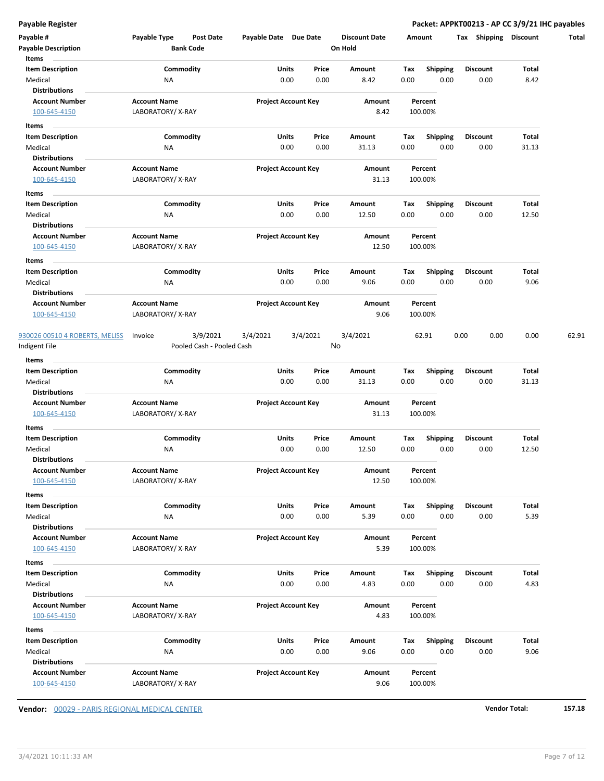**Payable Register Packet: APPKT00213 - AP CC 3/9/21 IHC payables**

| Payable #<br><b>Payable Description</b>                             | Payable Type                            | Post Date<br><b>Bank Code</b>         | Payable Date Due Date |                            | <b>Discount Date</b><br>On Hold |             | Amount                  | Shipping<br>Tax         | <b>Discount</b> | Total |
|---------------------------------------------------------------------|-----------------------------------------|---------------------------------------|-----------------------|----------------------------|---------------------------------|-------------|-------------------------|-------------------------|-----------------|-------|
| Items<br><b>Item Description</b><br>Medical                         | <b>NA</b>                               | Commodity                             | Units                 | Price<br>0.00<br>0.00      | Amount<br>8.42                  | Tax<br>0.00 | <b>Shipping</b><br>0.00 | <b>Discount</b><br>0.00 | Total<br>8.42   |       |
| <b>Distributions</b><br><b>Account Number</b><br>100-645-4150       | <b>Account Name</b><br>LABORATORY/X-RAY |                                       |                       | <b>Project Account Key</b> | Amount<br>8.42                  |             | Percent<br>100.00%      |                         |                 |       |
| Items                                                               |                                         |                                       |                       |                            |                                 |             |                         |                         |                 |       |
| <b>Item Description</b><br>Medical<br><b>Distributions</b>          | ΝA                                      | Commodity                             | Units                 | Price<br>0.00<br>0.00      | Amount<br>31.13                 | Тах<br>0.00 | <b>Shipping</b><br>0.00 | Discount<br>0.00        | Total<br>31.13  |       |
| <b>Account Number</b><br>100-645-4150                               | <b>Account Name</b><br>LABORATORY/X-RAY |                                       |                       | <b>Project Account Key</b> | Amount<br>31.13                 |             | Percent<br>100.00%      |                         |                 |       |
| Items<br><b>Item Description</b>                                    |                                         | Commodity                             | Units                 | Price                      | Amount                          | Tax         | <b>Shipping</b>         | <b>Discount</b>         | Total           |       |
| Medical<br><b>Distributions</b>                                     | ΝA                                      |                                       |                       | 0.00<br>0.00               | 12.50                           | 0.00        | 0.00                    | 0.00                    | 12.50           |       |
| <b>Account Number</b><br>100-645-4150                               | <b>Account Name</b><br>LABORATORY/X-RAY |                                       |                       | <b>Project Account Key</b> | Amount<br>12.50                 |             | Percent<br>100.00%      |                         |                 |       |
| Items<br><b>Item Description</b><br>Medical                         | ΝA                                      | Commodity                             | Units                 | Price<br>0.00<br>0.00      | Amount<br>9.06                  | Tax<br>0.00 | <b>Shipping</b><br>0.00 | <b>Discount</b><br>0.00 | Total<br>9.06   |       |
| <b>Distributions</b>                                                |                                         |                                       |                       |                            |                                 |             |                         |                         |                 |       |
| <b>Account Number</b><br>100-645-4150                               | <b>Account Name</b><br>LABORATORY/X-RAY |                                       |                       | <b>Project Account Key</b> | Amount<br>9.06                  |             | Percent<br>100.00%      |                         |                 |       |
| 930026 00510 4 ROBERTS, MELISS<br>Indigent File                     | Invoice                                 | 3/9/2021<br>Pooled Cash - Pooled Cash | 3/4/2021              | 3/4/2021                   | 3/4/2021<br>No                  |             | 62.91                   | 0.00<br>0.00            | 0.00            | 62.91 |
| Items<br><b>Item Description</b>                                    |                                         | Commodity                             | Units                 | Price                      | Amount                          | Tax         | <b>Shipping</b>         | <b>Discount</b>         | Total           |       |
| Medical<br>Distributions                                            | <b>NA</b>                               |                                       |                       | 0.00<br>0.00               | 31.13                           | 0.00        | 0.00                    | 0.00                    | 31.13           |       |
| <b>Account Number</b><br>100-645-4150                               | <b>Account Name</b><br>LABORATORY/X-RAY |                                       |                       | <b>Project Account Key</b> | Amount<br>31.13                 |             | Percent<br>100.00%      |                         |                 |       |
| Items<br><b>Item Description</b>                                    |                                         | Commodity                             | Units                 | Price                      | Amount                          | Тах         | <b>Shipping</b>         | <b>Discount</b>         | Total           |       |
| Medical<br><b>Distributions</b>                                     | ΝA                                      |                                       |                       | 0.00<br>0.00               | 12.50                           | 0.00        | 0.00                    | 0.00                    | 12.50           |       |
| <b>Account Number</b><br>100-645-4150                               | <b>Account Name</b><br>LABORATORY/X-RAY |                                       |                       | <b>Project Account Key</b> | Amount<br>12.50                 |             | Percent<br>100.00%      |                         |                 |       |
| Items<br><b>Item Description</b><br>Medical<br><b>Distributions</b> | NA                                      | Commodity                             | Units                 | Price<br>0.00<br>0.00      | Amount<br>5.39                  | Tax<br>0.00 | <b>Shipping</b><br>0.00 | <b>Discount</b><br>0.00 | Total<br>5.39   |       |
| <b>Account Number</b><br>100-645-4150                               | <b>Account Name</b><br>LABORATORY/X-RAY |                                       |                       | <b>Project Account Key</b> | Amount<br>5.39                  |             | Percent<br>100.00%      |                         |                 |       |
| Items<br><b>Item Description</b>                                    |                                         | Commodity                             | Units                 | Price                      | Amount                          | Tax         | <b>Shipping</b>         | <b>Discount</b>         | Total           |       |
| Medical<br><b>Distributions</b>                                     | NA                                      |                                       |                       | 0.00<br>0.00               | 4.83                            | 0.00        | 0.00                    | 0.00                    | 4.83            |       |
| <b>Account Number</b><br>100-645-4150                               | <b>Account Name</b><br>LABORATORY/X-RAY |                                       |                       | <b>Project Account Key</b> | Amount<br>4.83                  |             | Percent<br>100.00%      |                         |                 |       |
| Items                                                               |                                         |                                       |                       |                            |                                 |             |                         |                         |                 |       |
| <b>Item Description</b><br>Medical<br><b>Distributions</b>          | <b>NA</b>                               | Commodity                             | Units                 | Price<br>0.00<br>0.00      | Amount<br>9.06                  | Tax<br>0.00 | <b>Shipping</b><br>0.00 | <b>Discount</b><br>0.00 | Total<br>9.06   |       |
| <b>Account Number</b><br>100-645-4150                               | <b>Account Name</b><br>LABORATORY/X-RAY |                                       |                       | <b>Project Account Key</b> | Amount<br>9.06                  |             | Percent<br>100.00%      |                         |                 |       |

**Vendor:** 00029 - PARIS REGIONAL MEDICAL CENTER **Vendor Total: 157.18**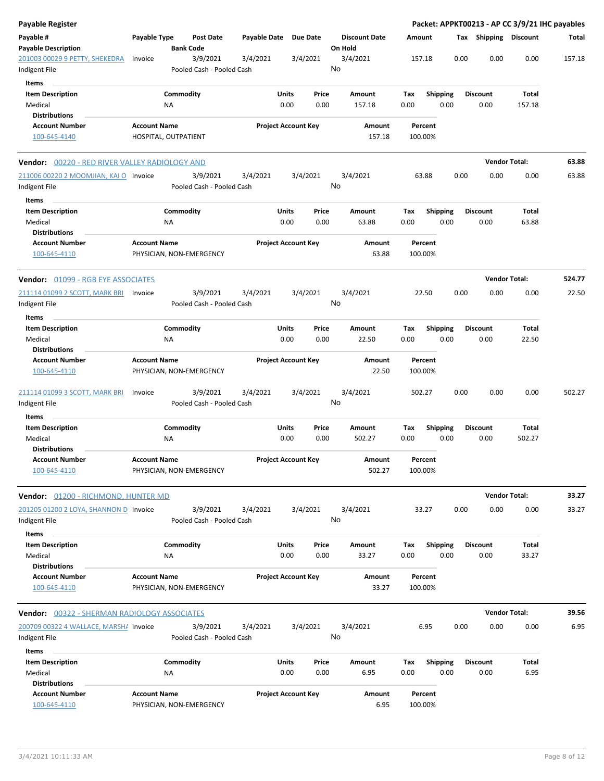| <b>Payable Register</b>                                 |                     |                          |                                       |              |       |                            |    |                                 |             |                    |                         |      |                       | Packet: APPKT00213 - AP CC 3/9/21 IHC payables |        |
|---------------------------------------------------------|---------------------|--------------------------|---------------------------------------|--------------|-------|----------------------------|----|---------------------------------|-------------|--------------------|-------------------------|------|-----------------------|------------------------------------------------|--------|
| Payable #<br><b>Payable Description</b>                 | Payable Type        | <b>Bank Code</b>         | <b>Post Date</b>                      | Payable Date |       | <b>Due Date</b>            |    | <b>Discount Date</b><br>On Hold | Amount      |                    |                         |      | Tax Shipping Discount |                                                | Total  |
| 201003 00029 9 PETTY, SHEKEDRA<br>Indigent File         | Invoice             |                          | 3/9/2021<br>Pooled Cash - Pooled Cash | 3/4/2021     |       | 3/4/2021                   | No | 3/4/2021                        | 157.18      |                    |                         | 0.00 | 0.00                  | 0.00                                           | 157.18 |
| Items                                                   |                     |                          |                                       |              |       |                            |    |                                 |             |                    |                         |      |                       |                                                |        |
| <b>Item Description</b>                                 |                     | Commodity                |                                       |              | Units | Price                      |    | Amount                          | Tax         |                    | Shipping                |      | <b>Discount</b>       | Total                                          |        |
| Medical                                                 |                     | ΝA                       |                                       |              | 0.00  | 0.00                       |    | 157.18                          | 0.00        |                    | 0.00                    |      | 0.00                  | 157.18                                         |        |
| <b>Distributions</b>                                    |                     |                          |                                       |              |       |                            |    |                                 |             |                    |                         |      |                       |                                                |        |
| <b>Account Number</b>                                   | <b>Account Name</b> |                          |                                       |              |       | <b>Project Account Key</b> |    | Amount                          |             | Percent            |                         |      |                       |                                                |        |
| 100-645-4140                                            |                     | HOSPITAL, OUTPATIENT     |                                       |              |       |                            |    | 157.18                          | 100.00%     |                    |                         |      |                       |                                                |        |
| Vendor: 00220 - RED RIVER VALLEY RADIOLOGY AND          |                     |                          |                                       |              |       |                            |    |                                 |             |                    |                         |      | <b>Vendor Total:</b>  |                                                | 63.88  |
| 211006 00220 2 MOOMJIAN, KAI O Invoice<br>Indigent File |                     |                          | 3/9/2021<br>Pooled Cash - Pooled Cash | 3/4/2021     |       | 3/4/2021                   | No | 3/4/2021                        |             | 63.88              |                         | 0.00 | 0.00                  | 0.00                                           | 63.88  |
| Items                                                   |                     |                          |                                       |              |       |                            |    |                                 |             |                    |                         |      |                       |                                                |        |
| <b>Item Description</b>                                 |                     | Commodity                |                                       |              | Units | Price                      |    | Amount                          | Tax         |                    | <b>Shipping</b>         |      | <b>Discount</b>       | Total                                          |        |
| Medical                                                 |                     | <b>NA</b>                |                                       |              | 0.00  | 0.00                       |    | 63.88                           | 0.00        |                    | 0.00                    |      | 0.00                  | 63.88                                          |        |
| <b>Distributions</b>                                    |                     |                          |                                       |              |       |                            |    |                                 |             |                    |                         |      |                       |                                                |        |
| <b>Account Number</b><br>100-645-4110                   | <b>Account Name</b> | PHYSICIAN, NON-EMERGENCY |                                       |              |       | <b>Project Account Key</b> |    | Amount<br>63.88                 | 100.00%     | Percent            |                         |      |                       |                                                |        |
| Vendor: 01099 - RGB EYE ASSOCIATES                      |                     |                          |                                       |              |       |                            |    |                                 |             |                    |                         |      | <b>Vendor Total:</b>  |                                                | 524.77 |
| 211114 01099 2 SCOTT, MARK BRI<br>Indigent File         | Invoice             |                          | 3/9/2021<br>Pooled Cash - Pooled Cash | 3/4/2021     |       | 3/4/2021                   | No | 3/4/2021                        |             | 22.50              |                         | 0.00 | 0.00                  | 0.00                                           | 22.50  |
| Items                                                   |                     |                          |                                       |              |       |                            |    |                                 |             |                    |                         |      |                       |                                                |        |
| <b>Item Description</b>                                 |                     | Commodity                |                                       |              | Units | Price                      |    | Amount                          | Tax         |                    | <b>Shipping</b>         |      | <b>Discount</b>       | Total                                          |        |
| Medical                                                 |                     | ΝA                       |                                       |              | 0.00  | 0.00                       |    | 22.50                           | 0.00        |                    | 0.00                    |      | 0.00                  | 22.50                                          |        |
| <b>Distributions</b>                                    |                     |                          |                                       |              |       |                            |    |                                 |             |                    |                         |      |                       |                                                |        |
| <b>Account Number</b>                                   | <b>Account Name</b> |                          |                                       |              |       | <b>Project Account Key</b> |    | Amount                          |             | Percent            |                         |      |                       |                                                |        |
| 100-645-4110                                            |                     | PHYSICIAN, NON-EMERGENCY |                                       |              |       |                            |    | 22.50                           | 100.00%     |                    |                         |      |                       |                                                |        |
| 211114 01099 3 SCOTT, MARK BRI<br>Indigent File         | Invoice             |                          | 3/9/2021<br>Pooled Cash - Pooled Cash | 3/4/2021     |       | 3/4/2021                   | No | 3/4/2021                        | 502.27      |                    |                         | 0.00 | 0.00                  | 0.00                                           | 502.27 |
|                                                         |                     |                          |                                       |              |       |                            |    |                                 |             |                    |                         |      |                       |                                                |        |
| Items                                                   |                     |                          |                                       |              |       |                            |    |                                 |             |                    |                         |      |                       |                                                |        |
| <b>Item Description</b>                                 |                     | Commodity                |                                       |              | Units | Price                      |    | Amount                          | Tax         |                    | Shipping                |      | Discount              | Total                                          |        |
| Medical<br><b>Distributions</b>                         |                     | ΝA                       |                                       |              | 0.00  | 0.00                       |    | 502.27                          | 0.00        |                    | 0.00                    |      | 0.00                  | 502.27                                         |        |
|                                                         |                     |                          |                                       |              |       |                            |    |                                 |             |                    |                         |      |                       |                                                |        |
| <b>Account Number</b><br>100-645-4110                   | <b>Account Name</b> | PHYSICIAN, NON-EMERGENCY |                                       |              |       | <b>Project Account Key</b> |    | Amount<br>502.27                |             | Percent<br>100.00% |                         |      |                       |                                                |        |
| Vendor: 01200 - RICHMOND, HUNTER MD                     |                     |                          |                                       |              |       |                            |    |                                 |             |                    |                         |      | <b>Vendor Total:</b>  |                                                | 33.27  |
| 201205 01200 2 LOYA, SHANNON D Invoice                  |                     |                          | 3/9/2021                              | 3/4/2021     |       | 3/4/2021                   |    | 3/4/2021                        |             | 33.27              |                         | 0.00 | 0.00                  | 0.00                                           | 33.27  |
| Indigent File                                           |                     |                          | Pooled Cash - Pooled Cash             |              |       |                            | No |                                 |             |                    |                         |      |                       |                                                |        |
| Items                                                   |                     | Commodity                |                                       |              | Units | Price                      |    | <b>Amount</b>                   |             |                    |                         |      | <b>Discount</b>       | Total                                          |        |
| <b>Item Description</b><br>Medical                      |                     | NA                       |                                       |              | 0.00  | 0.00                       |    | 33.27                           | Tax<br>0.00 |                    | <b>Shipping</b><br>0.00 |      | 0.00                  | 33.27                                          |        |
| <b>Distributions</b>                                    |                     |                          |                                       |              |       |                            |    |                                 |             |                    |                         |      |                       |                                                |        |
| <b>Account Number</b>                                   | <b>Account Name</b> |                          |                                       |              |       | <b>Project Account Key</b> |    | Amount                          |             | Percent            |                         |      |                       |                                                |        |
| 100-645-4110                                            |                     | PHYSICIAN, NON-EMERGENCY |                                       |              |       |                            |    | 33.27                           |             | 100.00%            |                         |      |                       |                                                |        |
| Vendor: 00322 - SHERMAN RADIOLOGY ASSOCIATES            |                     |                          |                                       |              |       |                            |    |                                 |             |                    |                         |      | <b>Vendor Total:</b>  |                                                | 39.56  |
| 200709 00322 4 WALLACE, MARSH/ Invoice                  |                     |                          | 3/9/2021                              | 3/4/2021     |       | 3/4/2021                   |    | 3/4/2021                        |             | 6.95               |                         | 0.00 | 0.00                  | 0.00                                           | 6.95   |
| Indigent File                                           |                     |                          | Pooled Cash - Pooled Cash             |              |       |                            | No |                                 |             |                    |                         |      |                       |                                                |        |
| Items                                                   |                     |                          |                                       |              |       |                            |    |                                 |             |                    |                         |      |                       |                                                |        |
| <b>Item Description</b>                                 |                     | Commodity                |                                       |              | Units | Price                      |    | Amount                          | Tax         |                    | <b>Shipping</b>         |      | <b>Discount</b>       | Total                                          |        |
| Medical                                                 |                     | NA                       |                                       |              | 0.00  | 0.00                       |    | 6.95                            | 0.00        |                    | 0.00                    |      | 0.00                  | 6.95                                           |        |
| <b>Distributions</b><br><b>Account Number</b>           | <b>Account Name</b> |                          |                                       |              |       | <b>Project Account Key</b> |    | Amount                          |             | Percent            |                         |      |                       |                                                |        |
| 100-645-4110                                            |                     | PHYSICIAN, NON-EMERGENCY |                                       |              |       |                            |    | 6.95                            |             | 100.00%            |                         |      |                       |                                                |        |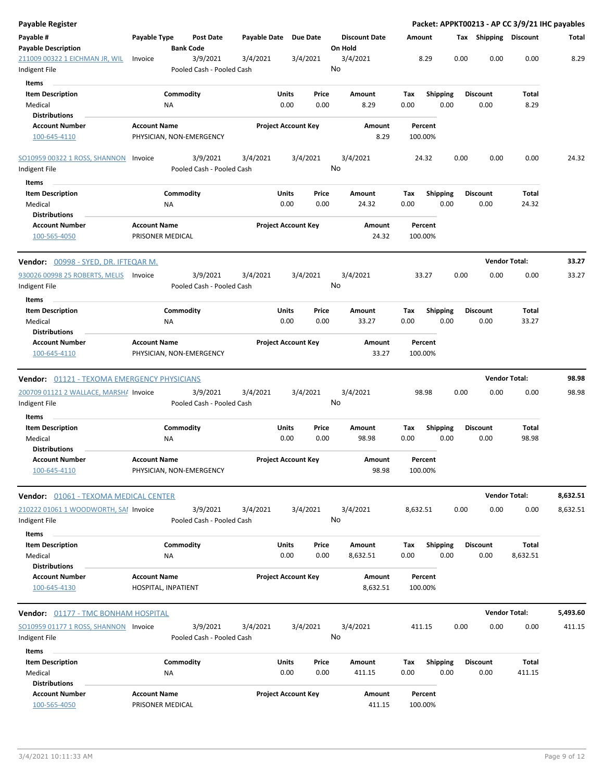| Payable Register                                   |                     |                                       |                       |                            |               |                                 |             |                         |      |                         | Packet: APPKT00213 - AP CC 3/9/21 IHC payables |          |
|----------------------------------------------------|---------------------|---------------------------------------|-----------------------|----------------------------|---------------|---------------------------------|-------------|-------------------------|------|-------------------------|------------------------------------------------|----------|
| Payable #<br><b>Payable Description</b>            | Payable Type        | <b>Post Date</b><br><b>Bank Code</b>  | Payable Date Due Date |                            |               | <b>Discount Date</b><br>On Hold | Amount      |                         |      | Tax Shipping Discount   |                                                | Total    |
| 211009 00322 1 EICHMAN JR, WIL<br>Indigent File    | Invoice             | 3/9/2021<br>Pooled Cash - Pooled Cash | 3/4/2021              | 3/4/2021                   |               | 3/4/2021<br>No                  |             | 8.29                    | 0.00 | 0.00                    | 0.00                                           | 8.29     |
|                                                    |                     |                                       |                       |                            |               |                                 |             |                         |      |                         |                                                |          |
| Items<br><b>Item Description</b><br>Medical        |                     | Commodity<br><b>NA</b>                |                       | Units<br>0.00              | Price<br>0.00 | Amount<br>8.29                  | Tax<br>0.00 | <b>Shipping</b><br>0.00 |      | <b>Discount</b><br>0.00 | Total<br>8.29                                  |          |
| <b>Distributions</b>                               |                     |                                       |                       |                            |               |                                 |             |                         |      |                         |                                                |          |
| <b>Account Number</b><br>100-645-4110              | <b>Account Name</b> | PHYSICIAN, NON-EMERGENCY              |                       | <b>Project Account Key</b> |               | Amount<br>8.29                  | 100.00%     | Percent                 |      |                         |                                                |          |
| SO10959 00322 1 ROSS, SHANNON Invoice              |                     | 3/9/2021                              | 3/4/2021              | 3/4/2021                   |               | 3/4/2021                        |             | 24.32                   | 0.00 | 0.00                    | 0.00                                           | 24.32    |
| Indigent File                                      |                     | Pooled Cash - Pooled Cash             |                       |                            |               | No                              |             |                         |      |                         |                                                |          |
| Items                                              |                     |                                       |                       |                            |               |                                 |             |                         |      |                         |                                                |          |
| <b>Item Description</b><br>Medical                 |                     | Commodity<br>ΝA                       |                       | Units<br>0.00              | Price<br>0.00 | Amount<br>24.32                 | Tax<br>0.00 | <b>Shipping</b><br>0.00 |      | <b>Discount</b><br>0.00 | Total<br>24.32                                 |          |
| <b>Distributions</b>                               |                     |                                       |                       |                            |               |                                 |             |                         |      |                         |                                                |          |
| <b>Account Number</b><br>100-565-4050              | <b>Account Name</b> | PRISONER MEDICAL                      |                       | <b>Project Account Key</b> |               | Amount<br>24.32                 | 100.00%     | Percent                 |      |                         |                                                |          |
|                                                    |                     |                                       |                       |                            |               |                                 |             |                         |      |                         | <b>Vendor Total:</b>                           | 33.27    |
| 930026 00998 25 ROBERTS, MELIS Invoice             |                     | 3/9/2021                              | 3/4/2021              | 3/4/2021                   |               | 3/4/2021                        |             | 33.27                   | 0.00 | 0.00                    | 0.00                                           | 33.27    |
| Indigent File                                      |                     | Pooled Cash - Pooled Cash             |                       |                            |               | No                              |             |                         |      |                         |                                                |          |
| Items                                              |                     |                                       |                       |                            |               |                                 |             |                         |      |                         |                                                |          |
| <b>Item Description</b><br>Medical                 |                     | Commodity<br>ΝA                       |                       | Units<br>0.00              | Price<br>0.00 | Amount<br>33.27                 | Tax<br>0.00 | Shipping<br>0.00        |      | Discount<br>0.00        | Total<br>33.27                                 |          |
| <b>Distributions</b><br><b>Account Number</b>      | <b>Account Name</b> |                                       |                       | <b>Project Account Key</b> |               | Amount                          |             | Percent                 |      |                         |                                                |          |
| 100-645-4110                                       |                     | PHYSICIAN, NON-EMERGENCY              |                       |                            |               | 33.27                           | 100.00%     |                         |      |                         |                                                |          |
| <b>Vendor:</b> 01121 - TEXOMA EMERGENCY PHYSICIANS |                     |                                       |                       |                            |               |                                 |             |                         |      |                         | <b>Vendor Total:</b>                           | 98.98    |
| 200709 01121 2 WALLACE, MARSH/ Invoice             |                     | 3/9/2021                              | 3/4/2021              | 3/4/2021                   |               | 3/4/2021                        |             | 98.98                   | 0.00 | 0.00                    | 0.00                                           | 98.98    |
| Indigent File<br>Items                             |                     | Pooled Cash - Pooled Cash             |                       |                            |               | No                              |             |                         |      |                         |                                                |          |
| <b>Item Description</b>                            |                     | Commodity                             |                       | Units                      | Price         | Amount                          | Tax         | <b>Shipping</b>         |      | <b>Discount</b>         | Total                                          |          |
| Medical                                            |                     | ΝA                                    |                       | 0.00                       | 0.00          | 98.98                           | 0.00        | 0.00                    |      | 0.00                    | 98.98                                          |          |
| <b>Distributions</b>                               |                     |                                       |                       |                            |               |                                 |             |                         |      |                         |                                                |          |
| <b>Account Number</b><br>100-645-4110              | <b>Account Name</b> | PHYSICIAN, NON-EMERGENCY              |                       | <b>Project Account Key</b> |               | Amount<br>98.98                 | 100.00%     | Percent                 |      |                         |                                                |          |
| <b>Vendor:</b> 01061 - TEXOMA MEDICAL CENTER       |                     |                                       |                       |                            |               |                                 |             |                         |      |                         | <b>Vendor Total:</b>                           | 8,632.51 |
| 210222 01061 1 WOODWORTH, SAI Invoice              |                     | 3/9/2021                              | 3/4/2021              | 3/4/2021                   |               | 3/4/2021                        | 8,632.51    |                         | 0.00 | 0.00                    | 0.00                                           | 8,632.51 |
| Indigent File<br>Items                             |                     | Pooled Cash - Pooled Cash             |                       |                            |               | No                              |             |                         |      |                         |                                                |          |
| <b>Item Description</b>                            |                     | Commodity                             |                       | Units                      | Price         | Amount                          | Tax         | <b>Shipping</b>         |      | <b>Discount</b>         | Total                                          |          |
| Medical                                            |                     | ΝA                                    |                       | 0.00                       | 0.00          | 8,632.51                        | 0.00        | 0.00                    |      | 0.00                    | 8,632.51                                       |          |
| <b>Distributions</b>                               |                     |                                       |                       |                            |               |                                 |             |                         |      |                         |                                                |          |
| <b>Account Number</b>                              | <b>Account Name</b> |                                       |                       | <b>Project Account Key</b> |               | Amount                          |             | Percent                 |      |                         |                                                |          |
| 100-645-4130                                       |                     | HOSPITAL, INPATIENT                   |                       |                            |               | 8,632.51                        | 100.00%     |                         |      |                         |                                                |          |
| Vendor: 01177 - TMC BONHAM HOSPITAL                |                     |                                       |                       |                            |               |                                 |             |                         |      |                         | <b>Vendor Total:</b>                           | 5,493.60 |
| SO10959 01177 1 ROSS, SHANNON Invoice              |                     | 3/9/2021                              | 3/4/2021              | 3/4/2021                   |               | 3/4/2021                        | 411.15      |                         | 0.00 | 0.00                    | 0.00                                           | 411.15   |
| Indigent File<br><b>Items</b>                      |                     | Pooled Cash - Pooled Cash             |                       |                            |               | No                              |             |                         |      |                         |                                                |          |
| <b>Item Description</b>                            |                     | Commodity                             |                       | Units                      | Price         | Amount                          | Tax         | <b>Shipping</b>         |      | <b>Discount</b>         | Total                                          |          |
| Medical                                            |                     | NA                                    |                       | 0.00                       | 0.00          | 411.15                          | 0.00        | 0.00                    |      | 0.00                    | 411.15                                         |          |
| <b>Distributions</b>                               |                     |                                       |                       |                            |               |                                 |             |                         |      |                         |                                                |          |
| <b>Account Number</b>                              | <b>Account Name</b> |                                       |                       | <b>Project Account Key</b> |               | Amount                          |             | Percent                 |      |                         |                                                |          |
| 100-565-4050                                       |                     | PRISONER MEDICAL                      |                       |                            |               | 411.15                          | 100.00%     |                         |      |                         |                                                |          |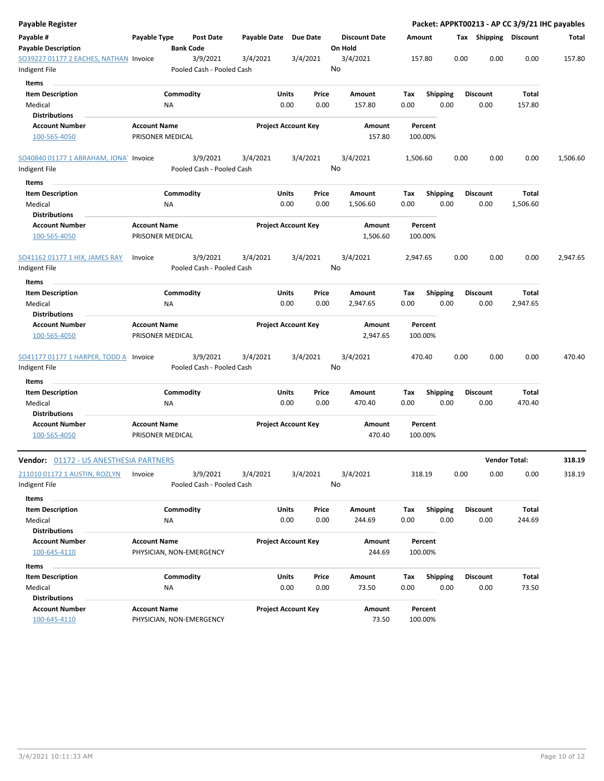| Payable Register                                        |                                         |                  |                                       |                     |               |                            |    |                                 |             |         |                         |      |                              |                 | Packet: APPKT00213 - AP CC 3/9/21 IHC payables |
|---------------------------------------------------------|-----------------------------------------|------------------|---------------------------------------|---------------------|---------------|----------------------------|----|---------------------------------|-------------|---------|-------------------------|------|------------------------------|-----------------|------------------------------------------------|
| Payable #<br><b>Payable Description</b>                 | Payable Type                            | <b>Bank Code</b> | <b>Post Date</b>                      | <b>Payable Date</b> |               | <b>Due Date</b>            |    | <b>Discount Date</b><br>On Hold | Amount      |         |                         |      | <b>Tax Shipping Discount</b> |                 | Total                                          |
| SO39227 01177 2 EACHES, NATHAN Invoice<br>Indigent File |                                         |                  | 3/9/2021<br>Pooled Cash - Pooled Cash | 3/4/2021            |               | 3/4/2021                   | No | 3/4/2021                        | 157.80      |         |                         | 0.00 | 0.00                         | 0.00            | 157.80                                         |
| Items                                                   |                                         |                  |                                       |                     |               |                            |    |                                 |             |         |                         |      |                              |                 |                                                |
| <b>Item Description</b><br>Medical                      |                                         | Commodity<br>ΝA  |                                       |                     | Units<br>0.00 | Price<br>0.00              |    | Amount<br>157.80                | Tax<br>0.00 |         | <b>Shipping</b><br>0.00 |      | Discount<br>0.00             | Total<br>157.80 |                                                |
| <b>Distributions</b>                                    |                                         |                  |                                       |                     |               |                            |    |                                 |             |         |                         |      |                              |                 |                                                |
| <b>Account Number</b>                                   | <b>Account Name</b>                     |                  |                                       |                     |               | <b>Project Account Key</b> |    | Amount                          |             | Percent |                         |      |                              |                 |                                                |
| 100-565-4050                                            | PRISONER MEDICAL                        |                  |                                       |                     |               |                            |    | 157.80                          | 100.00%     |         |                         |      |                              |                 |                                                |
| SO40840 01177 1 ABRAHAM, JONA Invoice<br>Indigent File  |                                         |                  | 3/9/2021<br>Pooled Cash - Pooled Cash | 3/4/2021            |               | 3/4/2021                   | No | 3/4/2021                        | 1,506.60    |         |                         | 0.00 | 0.00                         | 0.00            | 1,506.60                                       |
| Items                                                   |                                         |                  |                                       |                     |               |                            |    |                                 |             |         |                         |      |                              |                 |                                                |
| <b>Item Description</b>                                 |                                         | Commodity        |                                       |                     | Units         | Price                      |    | Amount                          | Tax         |         | Shipping                |      | <b>Discount</b>              | Total           |                                                |
| Medical<br><b>Distributions</b>                         |                                         | <b>NA</b>        |                                       |                     | 0.00          | 0.00                       |    | 1,506.60                        | 0.00        |         | 0.00                    |      | 0.00                         | 1,506.60        |                                                |
| <b>Account Number</b><br>100-565-4050                   | <b>Account Name</b><br>PRISONER MEDICAL |                  |                                       |                     |               | <b>Project Account Key</b> |    | Amount<br>1,506.60              | 100.00%     | Percent |                         |      |                              |                 |                                                |
| SO41162 01177 1 HIX, JAMES RAY<br>Indigent File         | Invoice                                 |                  | 3/9/2021<br>Pooled Cash - Pooled Cash | 3/4/2021            |               | 3/4/2021                   | No | 3/4/2021                        | 2,947.65    |         |                         | 0.00 | 0.00                         | 0.00            | 2,947.65                                       |
| Items                                                   |                                         |                  |                                       |                     |               |                            |    |                                 |             |         |                         |      |                              |                 |                                                |
| <b>Item Description</b>                                 |                                         | Commodity        |                                       |                     | Units         | Price                      |    | Amount                          | Tax         |         | <b>Shipping</b>         |      | <b>Discount</b>              | Total           |                                                |
| Medical                                                 |                                         | ΝA               |                                       |                     | 0.00          | 0.00                       |    | 2,947.65                        | 0.00        |         | 0.00                    |      | 0.00                         | 2,947.65        |                                                |
| <b>Distributions</b>                                    |                                         |                  |                                       |                     |               |                            |    |                                 |             |         |                         |      |                              |                 |                                                |
| <b>Account Number</b>                                   | <b>Account Name</b>                     |                  |                                       |                     |               | <b>Project Account Key</b> |    | Amount                          |             | Percent |                         |      |                              |                 |                                                |
| 100-565-4050                                            | PRISONER MEDICAL                        |                  |                                       |                     |               |                            |    | 2,947.65                        | 100.00%     |         |                         |      |                              |                 |                                                |
| SO41177 01177 1 HARPER, TODD A Invoice                  |                                         |                  | 3/9/2021                              | 3/4/2021            |               | 3/4/2021                   |    | 3/4/2021                        | 470.40      |         |                         | 0.00 | 0.00                         | 0.00            | 470.40                                         |
| Indigent File                                           |                                         |                  | Pooled Cash - Pooled Cash             |                     |               |                            | No |                                 |             |         |                         |      |                              |                 |                                                |
| Items                                                   |                                         |                  |                                       |                     |               |                            |    |                                 |             |         |                         |      |                              |                 |                                                |
| <b>Item Description</b>                                 |                                         | Commodity        |                                       |                     | Units         | Price                      |    | Amount                          | Tax         |         | <b>Shipping</b>         |      | <b>Discount</b>              | Total           |                                                |
| Medical<br><b>Distributions</b>                         |                                         | ΝA               |                                       |                     | 0.00          | 0.00                       |    | 470.40                          | 0.00        |         | 0.00                    |      | 0.00                         | 470.40          |                                                |
| <b>Account Number</b><br>100-565-4050                   | <b>Account Name</b><br>PRISONER MEDICAL |                  |                                       |                     |               | <b>Project Account Key</b> |    | Amount<br>470.40                | 100.00%     | Percent |                         |      |                              |                 |                                                |
| Vendor: 01172 - US ANESTHESIA PARTNERS                  |                                         |                  |                                       |                     |               |                            |    |                                 |             |         |                         |      | <b>Vendor Total:</b>         |                 | 318.19                                         |
| 211010 01172 1 AUSTIN, ROZLYN                           | Invoice                                 |                  | 3/9/2021                              | 3/4/2021            |               | 3/4/2021                   |    | 3/4/2021                        | 318.19      |         |                         | 0.00 | 0.00                         | 0.00            | 318.19                                         |
| Indigent File                                           |                                         |                  | Pooled Cash - Pooled Cash             |                     |               |                            | No |                                 |             |         |                         |      |                              |                 |                                                |
| Items                                                   |                                         |                  |                                       |                     |               |                            |    |                                 |             |         |                         |      |                              |                 |                                                |
| <b>Item Description</b>                                 |                                         | Commodity        |                                       |                     | Units         | Price                      |    | Amount                          | Tax         |         | <b>Shipping</b>         |      | <b>Discount</b>              | Total           |                                                |
| Medical                                                 |                                         | ΝA               |                                       |                     | 0.00          | 0.00                       |    | 244.69                          | 0.00        |         | 0.00                    |      | 0.00                         | 244.69          |                                                |
| <b>Distributions</b>                                    |                                         |                  |                                       |                     |               |                            |    |                                 |             |         |                         |      |                              |                 |                                                |
| <b>Account Number</b><br>100-645-4110                   | <b>Account Name</b>                     |                  | PHYSICIAN, NON-EMERGENCY              |                     |               | <b>Project Account Key</b> |    | Amount<br>244.69                | 100.00%     | Percent |                         |      |                              |                 |                                                |
| Items                                                   |                                         |                  |                                       |                     |               |                            |    |                                 |             |         |                         |      |                              |                 |                                                |
| <b>Item Description</b>                                 |                                         | Commodity        |                                       |                     | Units         | Price                      |    | Amount                          | Tax         |         | <b>Shipping</b>         |      | <b>Discount</b>              | Total           |                                                |
| Medical<br><b>Distributions</b>                         |                                         | NA               |                                       |                     | 0.00          | 0.00                       |    | 73.50                           | 0.00        |         | 0.00                    |      | 0.00                         | 73.50           |                                                |
| <b>Account Number</b><br>100-645-4110                   | <b>Account Name</b>                     |                  | PHYSICIAN, NON-EMERGENCY              |                     |               | <b>Project Account Key</b> |    | Amount<br>73.50                 | 100.00%     | Percent |                         |      |                              |                 |                                                |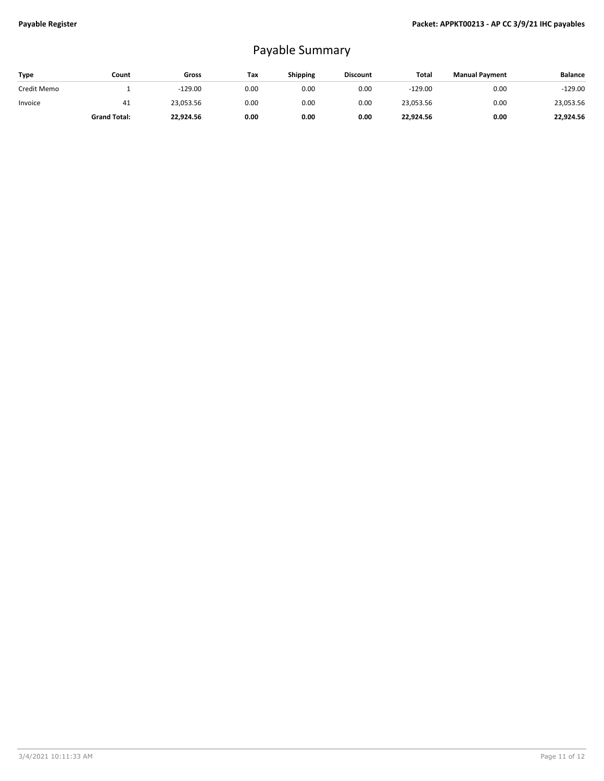## Payable Summary

| <b>Type</b> | Count               | Gross     | Tax  | <b>Shipping</b> | <b>Discount</b> | Total     | <b>Manual Payment</b> | <b>Balance</b> |
|-------------|---------------------|-----------|------|-----------------|-----------------|-----------|-----------------------|----------------|
| Credit Memo |                     | $-129.00$ | 0.00 | 0.00            | 0.00            | $-129.00$ | 0.00                  | $-129.00$      |
| Invoice     | 41                  | 23,053.56 | 0.00 | 0.00            | 0.00            | 23,053.56 | 0.00                  | 23,053.56      |
|             | <b>Grand Total:</b> | 22,924.56 | 0.00 | 0.00            | 0.00            | 22,924.56 | 0.00                  | 22,924.56      |